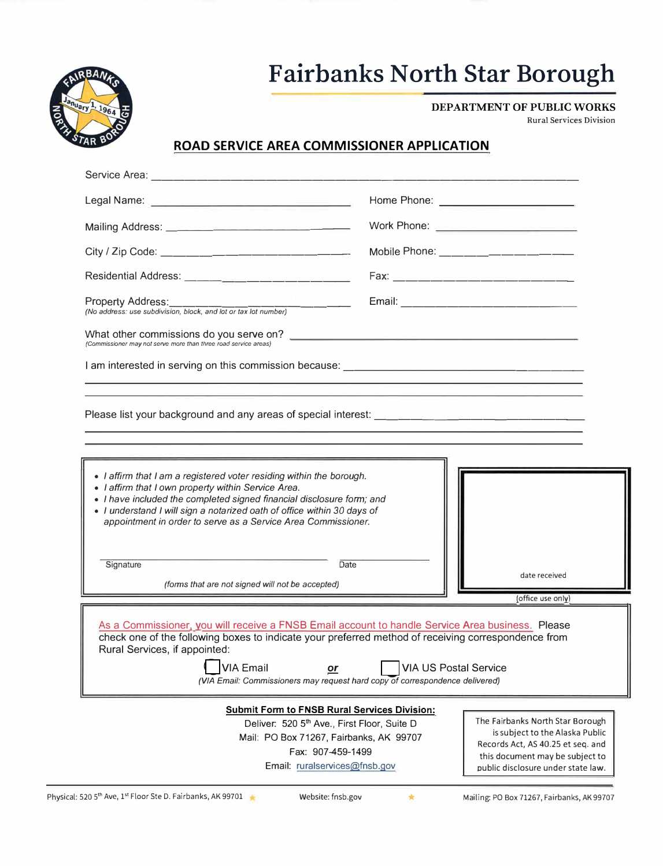

## **Fairbanks North Star Borough**

**DEPARTMENT OF PUBLIC WORKS** 

Rural Services Division

## **ROAD SERVICE AREA COMMISSIONER APPLICATION**

| Service Area:                                                                                                                                                                                                                                                                                                                                                                      |                                                                                                                                                                                   |
|------------------------------------------------------------------------------------------------------------------------------------------------------------------------------------------------------------------------------------------------------------------------------------------------------------------------------------------------------------------------------------|-----------------------------------------------------------------------------------------------------------------------------------------------------------------------------------|
| Legal Name: <u>Department of the Second Contract of the Second Contract of the Second Contract of the Second Contract of the Second Contract of the Second Contract of the Second Contract of the Second Contract of the Second </u>                                                                                                                                               | Home Phone: ________________________                                                                                                                                              |
|                                                                                                                                                                                                                                                                                                                                                                                    | Work Phone: <u>_______________________</u>                                                                                                                                        |
|                                                                                                                                                                                                                                                                                                                                                                                    | Mobile Phone: ___________________                                                                                                                                                 |
|                                                                                                                                                                                                                                                                                                                                                                                    |                                                                                                                                                                                   |
|                                                                                                                                                                                                                                                                                                                                                                                    |                                                                                                                                                                                   |
| (Commissioner may not serve more than three road service areas)                                                                                                                                                                                                                                                                                                                    |                                                                                                                                                                                   |
|                                                                                                                                                                                                                                                                                                                                                                                    |                                                                                                                                                                                   |
|                                                                                                                                                                                                                                                                                                                                                                                    |                                                                                                                                                                                   |
| • I affirm that I am a registered voter residing within the borough.<br>• I affirm that I own property within Service Area.<br>• I have included the completed signed financial disclosure form; and<br>· I understand I will sign a notarized oath of office within 30 days of<br>appointment in order to serve as a Service Area Commissioner.                                   |                                                                                                                                                                                   |
| Signature<br>Date                                                                                                                                                                                                                                                                                                                                                                  | date received                                                                                                                                                                     |
| (forms that are not signed will not be accepted)                                                                                                                                                                                                                                                                                                                                   | (office use only)                                                                                                                                                                 |
| As a Commissioner, you will receive a FNSB Email account to handle Service Area business. Please<br>check one of the following boxes to indicate your preferred method of receiving correspondence from<br>Rural Services, if appointed:<br><b>VIA Email</b><br><b>VIA US Postal Service</b><br>or<br>(VIA Email: Commissioners may request hard copy of correspondence delivered) |                                                                                                                                                                                   |
| <b>Submit Form to FNSB Rural Services Division:</b><br>Deliver: 520 5th Ave., First Floor, Suite D<br>Mail: PO Box 71267, Fairbanks, AK 99707<br>Fax: 907-459-1499<br>Email: ruralservices@fnsb.gov                                                                                                                                                                                | The Fairbanks North Star Borough<br>is subject to the Alaska Public<br>Records Act, AS 40.25 et seq. and<br>this document may be subject to<br>public disclosure under state law. |